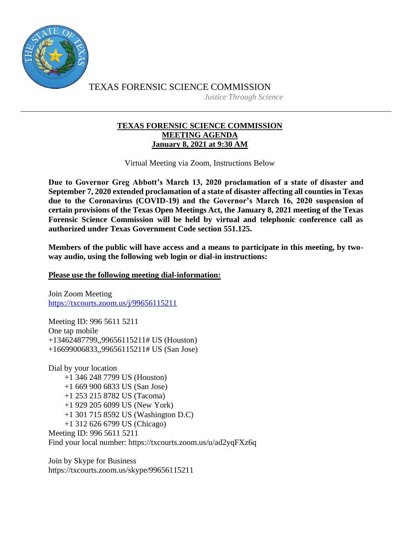

TEXAS FORENSIC SCIENCE COMMISSION *Justice Through Science*

## **TEXAS FORENSIC SCIENCE COMMISSION MEETING AGENDA January 8, 2021 at 9:30 AM**

Virtual Meeting via Zoom, Instructions Below

**Due to Governor Greg Abbott's March 13, 2020 proclamation of a state of disaster and September 7, 2020 extended proclamation of a state of disaster affecting all counties in Texas due to the Coronavirus (COVID-19) and the Governor's March 16, 2020 suspension of certain provisions of the Texas Open Meetings Act, the January 8, 2021 meeting of the Texas Forensic Science Commission will be held by virtual and telephonic conference call as authorized under Texas Government Code section 551.125.**

**Members of the public will have access and a means to participate in this meeting, by twoway audio, using the following web login or dial-in instructions:**

## **Please use the following meeting dial-information:**

Join Zoom Meeting <https://txcourts.zoom.us/j/99656115211>

Meeting ID: 996 5611 5211 One tap mobile +13462487799,,99656115211# US (Houston) +16699006833,,99656115211# US (San Jose)

Dial by your location +1 346 248 7799 US (Houston) +1 669 900 6833 US (San Jose) +1 253 215 8782 US (Tacoma) +1 929 205 6099 US (New York) +1 301 715 8592 US (Washington D.C) +1 312 626 6799 US (Chicago) Meeting ID: 996 5611 5211 Find your local number: https://txcourts.zoom.us/u/ad2yqFXz6q

Join by Skype for Business https://txcourts.zoom.us/skype/99656115211